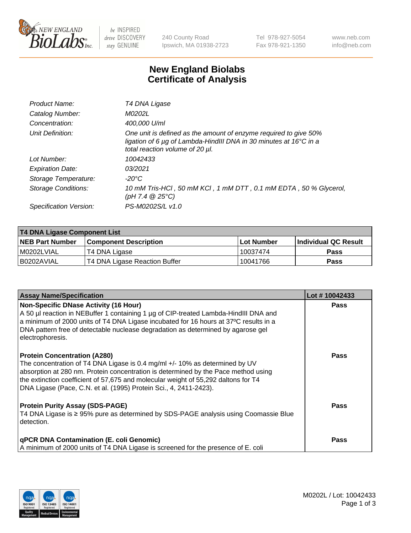

 $be$  INSPIRED drive DISCOVERY stay GENUINE

240 County Road Ipswich, MA 01938-2723 Tel 978-927-5054 Fax 978-921-1350 www.neb.com info@neb.com

## **New England Biolabs Certificate of Analysis**

| Product Name:              | T4 DNA Ligase                                                                                                                                                                           |
|----------------------------|-----------------------------------------------------------------------------------------------------------------------------------------------------------------------------------------|
| Catalog Number:            | M0202L                                                                                                                                                                                  |
| Concentration:             | 400,000 U/ml                                                                                                                                                                            |
| Unit Definition:           | One unit is defined as the amount of enzyme required to give 50%<br>ligation of 6 $\mu$ g of Lambda-HindIII DNA in 30 minutes at 16 $\degree$ C in a<br>total reaction volume of 20 µl. |
| Lot Number:                | 10042433                                                                                                                                                                                |
| <b>Expiration Date:</b>    | 03/2021                                                                                                                                                                                 |
| Storage Temperature:       | $-20^{\circ}$ C                                                                                                                                                                         |
| <b>Storage Conditions:</b> | 10 mM Tris-HCl, 50 mM KCl, 1 mM DTT, 0.1 mM EDTA, 50 % Glycerol,<br>(pH 7.4 $@25°C$ )                                                                                                   |
| Specification Version:     | PS-M0202S/L v1.0                                                                                                                                                                        |

| <b>T4 DNA Ligase Component List</b> |                               |              |                             |  |  |
|-------------------------------------|-------------------------------|--------------|-----------------------------|--|--|
| <b>NEB Part Number</b>              | <b>Component Description</b>  | l Lot Number | <b>Individual QC Result</b> |  |  |
| M0202LVIAL                          | T4 DNA Ligase                 | 10037474     | <b>Pass</b>                 |  |  |
| I B0202AVIAL                        | T4 DNA Ligase Reaction Buffer | 10041766     | <b>Pass</b>                 |  |  |

| <b>Assay Name/Specification</b>                                                                                                                                                                                                                                                                                                                                     | Lot #10042433 |
|---------------------------------------------------------------------------------------------------------------------------------------------------------------------------------------------------------------------------------------------------------------------------------------------------------------------------------------------------------------------|---------------|
| <b>Non-Specific DNase Activity (16 Hour)</b><br>A 50 µl reaction in NEBuffer 1 containing 1 µg of CIP-treated Lambda-HindIII DNA and<br>$\vert$ a minimum of 2000 units of T4 DNA Ligase incubated for 16 hours at 37°C results in a<br>DNA pattern free of detectable nuclease degradation as determined by agarose gel<br>electrophoresis.                        | <b>Pass</b>   |
| <b>Protein Concentration (A280)</b><br>The concentration of T4 DNA Ligase is 0.4 mg/ml +/- 10% as determined by UV<br>absorption at 280 nm. Protein concentration is determined by the Pace method using<br>the extinction coefficient of 57,675 and molecular weight of 55,292 daltons for T4<br>DNA Ligase (Pace, C.N. et al. (1995) Protein Sci., 4, 2411-2423). | Pass          |
| <b>Protein Purity Assay (SDS-PAGE)</b><br>T4 DNA Ligase is ≥ 95% pure as determined by SDS-PAGE analysis using Coomassie Blue<br>detection.                                                                                                                                                                                                                         | Pass          |
| <b>qPCR DNA Contamination (E. coli Genomic)</b><br>A minimum of 2000 units of T4 DNA Ligase is screened for the presence of E. coli                                                                                                                                                                                                                                 | <b>Pass</b>   |

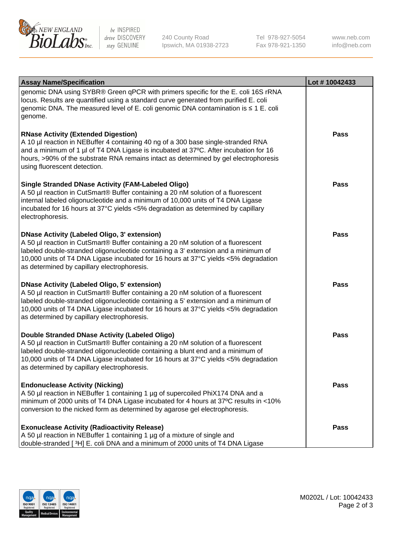

be INSPIRED drive DISCOVERY stay GENUINE

240 County Road Ipswich, MA 01938-2723 Tel 978-927-5054 Fax 978-921-1350 www.neb.com info@neb.com

| <b>Assay Name/Specification</b>                                                                                                                                                                                                                                                                                                                                      | Lot #10042433 |
|----------------------------------------------------------------------------------------------------------------------------------------------------------------------------------------------------------------------------------------------------------------------------------------------------------------------------------------------------------------------|---------------|
| genomic DNA using SYBR® Green qPCR with primers specific for the E. coli 16S rRNA<br>locus. Results are quantified using a standard curve generated from purified E. coli<br>genomic DNA. The measured level of E. coli genomic DNA contamination is ≤ 1 E. coli<br>genome.                                                                                          |               |
| <b>RNase Activity (Extended Digestion)</b><br>A 10 µl reaction in NEBuffer 4 containing 40 ng of a 300 base single-stranded RNA<br>and a minimum of 1 µl of T4 DNA Ligase is incubated at 37°C. After incubation for 16<br>hours, >90% of the substrate RNA remains intact as determined by gel electrophoresis<br>using fluorescent detection.                      | <b>Pass</b>   |
| <b>Single Stranded DNase Activity (FAM-Labeled Oligo)</b><br>A 50 µl reaction in CutSmart® Buffer containing a 20 nM solution of a fluorescent<br>internal labeled oligonucleotide and a minimum of 10,000 units of T4 DNA Ligase<br>incubated for 16 hours at 37°C yields <5% degradation as determined by capillary<br>electrophoresis.                            | <b>Pass</b>   |
| <b>DNase Activity (Labeled Oligo, 3' extension)</b><br>A 50 µl reaction in CutSmart® Buffer containing a 20 nM solution of a fluorescent<br>labeled double-stranded oligonucleotide containing a 3' extension and a minimum of<br>10,000 units of T4 DNA Ligase incubated for 16 hours at 37°C yields <5% degradation<br>as determined by capillary electrophoresis. | <b>Pass</b>   |
| <b>DNase Activity (Labeled Oligo, 5' extension)</b><br>A 50 µl reaction in CutSmart® Buffer containing a 20 nM solution of a fluorescent<br>labeled double-stranded oligonucleotide containing a 5' extension and a minimum of<br>10,000 units of T4 DNA Ligase incubated for 16 hours at 37°C yields <5% degradation<br>as determined by capillary electrophoresis. | <b>Pass</b>   |
| Double Stranded DNase Activity (Labeled Oligo)<br>A 50 µl reaction in CutSmart® Buffer containing a 20 nM solution of a fluorescent<br>labeled double-stranded oligonucleotide containing a blunt end and a minimum of<br>10,000 units of T4 DNA Ligase incubated for 16 hours at 37°C yields <5% degradation<br>as determined by capillary electrophoresis.         | <b>Pass</b>   |
| <b>Endonuclease Activity (Nicking)</b><br>A 50 µl reaction in NEBuffer 1 containing 1 µg of supercoiled PhiX174 DNA and a<br>minimum of 2000 units of T4 DNA Ligase incubated for 4 hours at 37°C results in <10%<br>conversion to the nicked form as determined by agarose gel electrophoresis.                                                                     | <b>Pass</b>   |
| <b>Exonuclease Activity (Radioactivity Release)</b><br>A 50 µl reaction in NEBuffer 1 containing 1 µg of a mixture of single and<br>double-stranded [3H] E. coli DNA and a minimum of 2000 units of T4 DNA Ligase                                                                                                                                                    | <b>Pass</b>   |